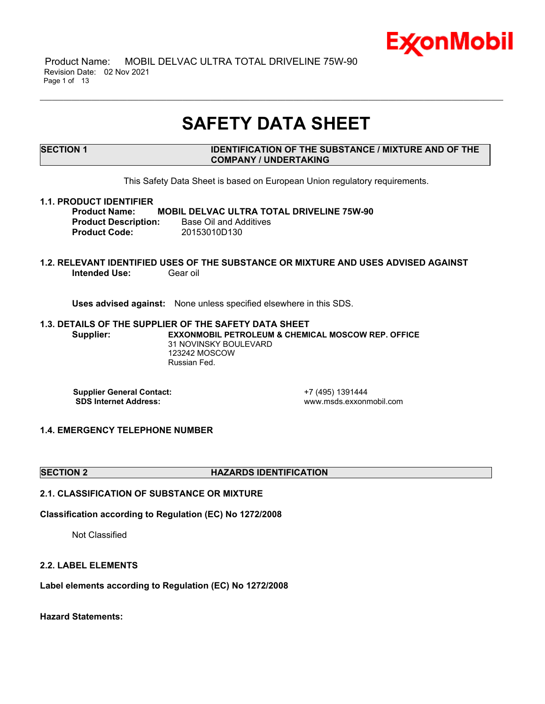

 Product Name: MOBIL DELVAC ULTRA TOTAL DRIVELINE 75W-90 Revision Date: 02 Nov 2021 Page 1 of 13

## **SAFETY DATA SHEET**

\_\_\_\_\_\_\_\_\_\_\_\_\_\_\_\_\_\_\_\_\_\_\_\_\_\_\_\_\_\_\_\_\_\_\_\_\_\_\_\_\_\_\_\_\_\_\_\_\_\_\_\_\_\_\_\_\_\_\_\_\_\_\_\_\_\_\_\_\_\_\_\_\_\_\_\_\_\_\_\_\_\_\_\_\_\_\_\_\_\_\_\_\_\_\_\_\_\_\_\_\_\_\_\_\_\_\_\_\_\_\_\_\_\_\_\_\_

**SECTION 1 IDENTIFICATION OF THE SUBSTANCE / MIXTURE AND OF THE COMPANY / UNDERTAKING**

This Safety Data Sheet is based on European Union regulatory requirements.

#### **1.1. PRODUCT IDENTIFIER**

**Product Name: MOBIL DELVAC ULTRA TOTAL DRIVELINE 75W-90 Product Description:** Base Oil and Additives **Product Code:** 20153010D130

#### **1.2. RELEVANT IDENTIFIED USES OF THE SUBSTANCE OR MIXTURE AND USES ADVISED AGAINST Intended Use: Gear oil**

**Uses advised against:** None unless specified elsewhere in this SDS.

#### **1.3. DETAILS OF THE SUPPLIER OF THE SAFETY DATA SHEET Supplier: EXXONMOBIL PETROLEUM & CHEMICAL MOSCOW REP. OFFICE** 31 NOVINSKY BOULEVARD 123242 MOSCOW Russian Fed.

**Supplier General Contact:**<br> **SDS Internet Address:**<br> **SDS Internet Address:**<br> **CONTACT ADDRESS:** 

**SDS Internet Address:** www.msds.exxonmobil.com

#### **1.4. EMERGENCY TELEPHONE NUMBER**

#### **SECTION 2 HAZARDS IDENTIFICATION**

### **2.1. CLASSIFICATION OF SUBSTANCE OR MIXTURE**

#### **Classification according to Regulation (EC) No 1272/2008**

Not Classified

#### **2.2. LABEL ELEMENTS**

**Label elements according to Regulation (EC) No 1272/2008**

**Hazard Statements:**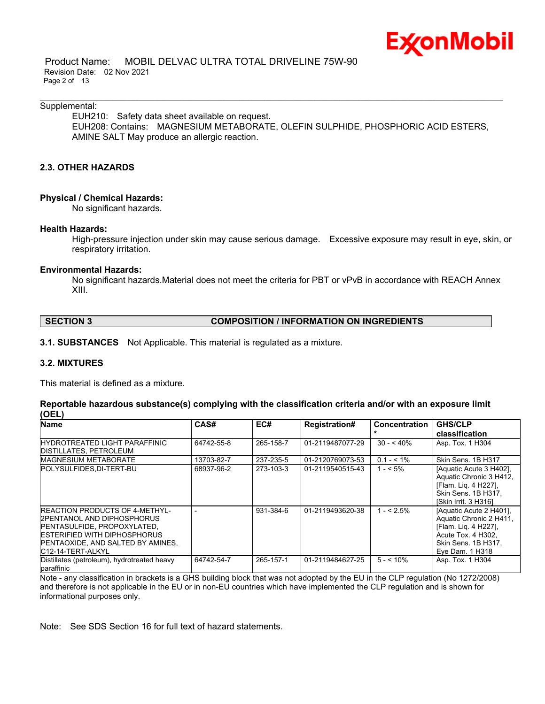

 Product Name: MOBIL DELVAC ULTRA TOTAL DRIVELINE 75W-90 Revision Date: 02 Nov 2021 Page 2 of 13

#### Supplemental:

EUH210: Safety data sheet available on request. EUH208: Contains: MAGNESIUM METABORATE, OLEFIN SULPHIDE, PHOSPHORIC ACID ESTERS, AMINE SALT May produce an allergic reaction.

\_\_\_\_\_\_\_\_\_\_\_\_\_\_\_\_\_\_\_\_\_\_\_\_\_\_\_\_\_\_\_\_\_\_\_\_\_\_\_\_\_\_\_\_\_\_\_\_\_\_\_\_\_\_\_\_\_\_\_\_\_\_\_\_\_\_\_\_\_\_\_\_\_\_\_\_\_\_\_\_\_\_\_\_\_\_\_\_\_\_\_\_\_\_\_\_\_\_\_\_\_\_\_\_\_\_\_\_\_\_\_\_\_\_\_\_\_

### **2.3. OTHER HAZARDS**

#### **Physical / Chemical Hazards:**

No significant hazards.

#### **Health Hazards:**

High-pressure injection under skin may cause serious damage. Excessive exposure may result in eye, skin, or respiratory irritation.

#### **Environmental Hazards:**

No significant hazards.Material does not meet the criteria for PBT or vPvB in accordance with REACH Annex XIII.

| <b>SECTION 3</b> | <b>COMPOSITION / INFORMATION ON INGREDIENTS</b> |
|------------------|-------------------------------------------------|
|------------------|-------------------------------------------------|

**3.1. SUBSTANCES** Not Applicable. This material is regulated as a mixture.

#### **3.2. MIXTURES**

This material is defined as a mixture.

#### **Reportable hazardous substance(s) complying with the classification criteria and/or with an exposure limit (OEL)**

| <b>Name</b>                                                                                                                                                                                             | CAS#       | EC#       | <b>Registration#</b> | <b>Concentration</b> | <b>GHS/CLP</b>                                                                                                                             |
|---------------------------------------------------------------------------------------------------------------------------------------------------------------------------------------------------------|------------|-----------|----------------------|----------------------|--------------------------------------------------------------------------------------------------------------------------------------------|
|                                                                                                                                                                                                         |            |           |                      |                      | classification                                                                                                                             |
| <b>IHYDROTREATED LIGHT PARAFFINIC</b><br>DISTILLATES, PETROLEUM                                                                                                                                         | 64742-55-8 | 265-158-7 | 01-2119487077-29     | $30 - 40\%$          | Asp. Tox. 1 H304                                                                                                                           |
| <b>MAGNESIUM METABORATE</b>                                                                                                                                                                             | 13703-82-7 | 237-235-5 | 01-2120769073-53     | $0.1 - 5.1\%$        | Skin Sens. 1B H317                                                                                                                         |
| <b>POLYSULFIDES.DI-TERT-BU</b>                                                                                                                                                                          | 68937-96-2 | 273-103-3 | 01-2119540515-43     | $1 - 5\%$            | [Aquatic Acute 3 H402].<br>Aquatic Chronic 3 H412,<br>[Flam. Lig. 4 H227].<br>Skin Sens, 1B H317.<br>[Skin Irrit, 3 H316]                  |
| <b>IREACTION PRODUCTS OF 4-METHYL-</b><br>I2PENTANOL AND DIPHOSPHORUS<br>PENTASULFIDE, PROPOXYLATED,<br><b>IESTERIFIED WITH DIPHOSPHORUS</b><br>PENTAOXIDE, AND SALTED BY AMINES,<br>IC12-14-TERT-ALKYL |            | 931-384-6 | 01-2119493620-38     | $1 - 5\%$            | [Aquatic Acute 2 H401].<br>Aquatic Chronic 2 H411,<br>[Flam. Lig. 4 H227].<br>Acute Tox. 4 H302.<br>Skin Sens. 1B H317.<br>Eye Dam. 1 H318 |
| Distillates (petroleum), hydrotreated heavy<br>paraffinic                                                                                                                                               | 64742-54-7 | 265-157-1 | 01-2119484627-25     | $5 - 10\%$           | Asp. Tox. 1 H304                                                                                                                           |

Note - any classification in brackets is a GHS building block that was not adopted by the EU in the CLP regulation (No 1272/2008) and therefore is not applicable in the EU or in non-EU countries which have implemented the CLP regulation and is shown for informational purposes only.

Note: See SDS Section 16 for full text of hazard statements.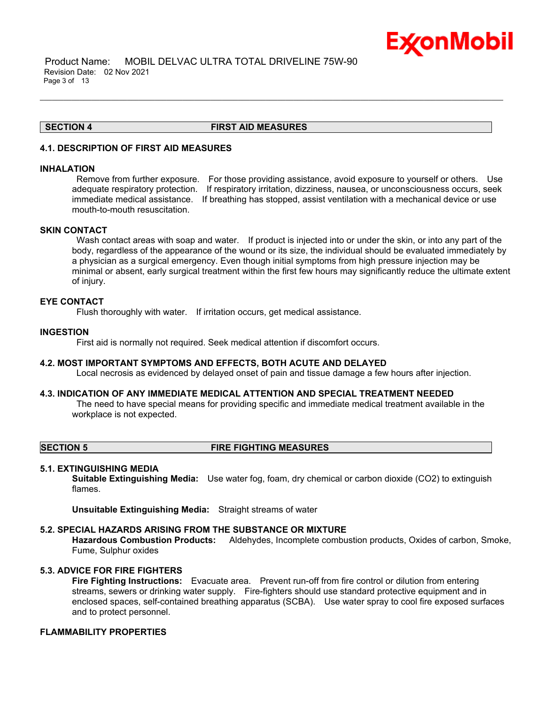

 Product Name: MOBIL DELVAC ULTRA TOTAL DRIVELINE 75W-90 Revision Date: 02 Nov 2021 Page 3 of 13

#### **SECTION 4 FIRST AID MEASURES**

\_\_\_\_\_\_\_\_\_\_\_\_\_\_\_\_\_\_\_\_\_\_\_\_\_\_\_\_\_\_\_\_\_\_\_\_\_\_\_\_\_\_\_\_\_\_\_\_\_\_\_\_\_\_\_\_\_\_\_\_\_\_\_\_\_\_\_\_\_\_\_\_\_\_\_\_\_\_\_\_\_\_\_\_\_\_\_\_\_\_\_\_\_\_\_\_\_\_\_\_\_\_\_\_\_\_\_\_\_\_\_\_\_\_\_\_\_

#### **4.1. DESCRIPTION OF FIRST AID MEASURES**

#### **INHALATION**

Remove from further exposure. For those providing assistance, avoid exposure to yourself or others. Use adequate respiratory protection. If respiratory irritation, dizziness, nausea, or unconsciousness occurs, seek immediate medical assistance. If breathing has stopped, assist ventilation with a mechanical device or use mouth-to-mouth resuscitation.

#### **SKIN CONTACT**

Wash contact areas with soap and water. If product is injected into or under the skin, or into any part of the body, regardless of the appearance of the wound or its size, the individual should be evaluated immediately by a physician as a surgical emergency. Even though initial symptoms from high pressure injection may be minimal or absent, early surgical treatment within the first few hours may significantly reduce the ultimate extent of injury.

#### **EYE CONTACT**

Flush thoroughly with water. If irritation occurs, get medical assistance.

#### **INGESTION**

First aid is normally not required. Seek medical attention if discomfort occurs.

#### **4.2. MOST IMPORTANT SYMPTOMS AND EFFECTS, BOTH ACUTE AND DELAYED**

Local necrosis as evidenced by delayed onset of pain and tissue damage a few hours after injection.

#### **4.3. INDICATION OF ANY IMMEDIATE MEDICAL ATTENTION AND SPECIAL TREATMENT NEEDED**

The need to have special means for providing specific and immediate medical treatment available in the workplace is not expected.

#### **SECTION 5 FIRE FIGHTING MEASURES**

#### **5.1. EXTINGUISHING MEDIA**

**Suitable Extinguishing Media:** Use water fog, foam, dry chemical or carbon dioxide (CO2) to extinguish flames.

**Unsuitable Extinguishing Media:** Straight streams of water

#### **5.2. SPECIAL HAZARDS ARISING FROM THE SUBSTANCE OR MIXTURE**

**Hazardous Combustion Products:** Aldehydes, Incomplete combustion products, Oxides of carbon, Smoke, Fume, Sulphur oxides

#### **5.3. ADVICE FOR FIRE FIGHTERS**

**Fire Fighting Instructions:** Evacuate area. Prevent run-off from fire control or dilution from entering streams, sewers or drinking water supply. Fire-fighters should use standard protective equipment and in enclosed spaces, self-contained breathing apparatus (SCBA). Use water spray to cool fire exposed surfaces and to protect personnel.

#### **FLAMMABILITY PROPERTIES**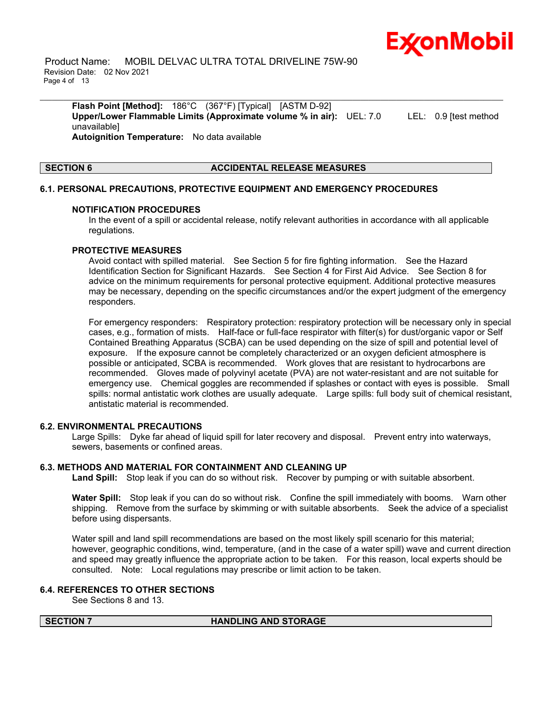

 Product Name: MOBIL DELVAC ULTRA TOTAL DRIVELINE 75W-90 Revision Date: 02 Nov 2021 Page 4 of 13

**Flash Point [Method]:** 186°C (367°F) [Typical] [ASTM D-92] **Upper/Lower Flammable Limits (Approximate volume % in air):** UEL: 7.0 LEL: 0.9 [test method unavailable] **Autoignition Temperature:** No data available

\_\_\_\_\_\_\_\_\_\_\_\_\_\_\_\_\_\_\_\_\_\_\_\_\_\_\_\_\_\_\_\_\_\_\_\_\_\_\_\_\_\_\_\_\_\_\_\_\_\_\_\_\_\_\_\_\_\_\_\_\_\_\_\_\_\_\_\_\_\_\_\_\_\_\_\_\_\_\_\_\_\_\_\_\_\_\_\_\_\_\_\_\_\_\_\_\_\_\_\_\_\_\_\_\_\_\_\_\_\_\_\_\_\_\_\_\_

#### **SECTION 6 ACCIDENTAL RELEASE MEASURES**

#### **6.1. PERSONAL PRECAUTIONS, PROTECTIVE EQUIPMENT AND EMERGENCY PROCEDURES**

#### **NOTIFICATION PROCEDURES**

In the event of a spill or accidental release, notify relevant authorities in accordance with all applicable regulations.

#### **PROTECTIVE MEASURES**

Avoid contact with spilled material. See Section 5 for fire fighting information. See the Hazard Identification Section for Significant Hazards. See Section 4 for First Aid Advice. See Section 8 for advice on the minimum requirements for personal protective equipment. Additional protective measures may be necessary, depending on the specific circumstances and/or the expert judgment of the emergency responders.

For emergency responders: Respiratory protection: respiratory protection will be necessary only in special cases, e.g., formation of mists. Half-face or full-face respirator with filter(s) for dust/organic vapor or Self Contained Breathing Apparatus (SCBA) can be used depending on the size of spill and potential level of exposure. If the exposure cannot be completely characterized or an oxygen deficient atmosphere is possible or anticipated, SCBA is recommended. Work gloves that are resistant to hydrocarbons are recommended. Gloves made of polyvinyl acetate (PVA) are not water-resistant and are not suitable for emergency use. Chemical goggles are recommended if splashes or contact with eyes is possible. Small spills: normal antistatic work clothes are usually adequate. Large spills: full body suit of chemical resistant, antistatic material is recommended.

#### **6.2. ENVIRONMENTAL PRECAUTIONS**

Large Spills: Dyke far ahead of liquid spill for later recovery and disposal. Prevent entry into waterways, sewers, basements or confined areas.

#### **6.3. METHODS AND MATERIAL FOR CONTAINMENT AND CLEANING UP**

**Land Spill:** Stop leak if you can do so without risk. Recover by pumping or with suitable absorbent.

**Water Spill:** Stop leak if you can do so without risk. Confine the spill immediately with booms. Warn other shipping. Remove from the surface by skimming or with suitable absorbents. Seek the advice of a specialist before using dispersants.

Water spill and land spill recommendations are based on the most likely spill scenario for this material; however, geographic conditions, wind, temperature, (and in the case of a water spill) wave and current direction and speed may greatly influence the appropriate action to be taken. For this reason, local experts should be consulted. Note: Local regulations may prescribe or limit action to be taken.

#### **6.4. REFERENCES TO OTHER SECTIONS**

See Sections 8 and 13.

#### **SECTION 7 HANDLING AND STORAGE**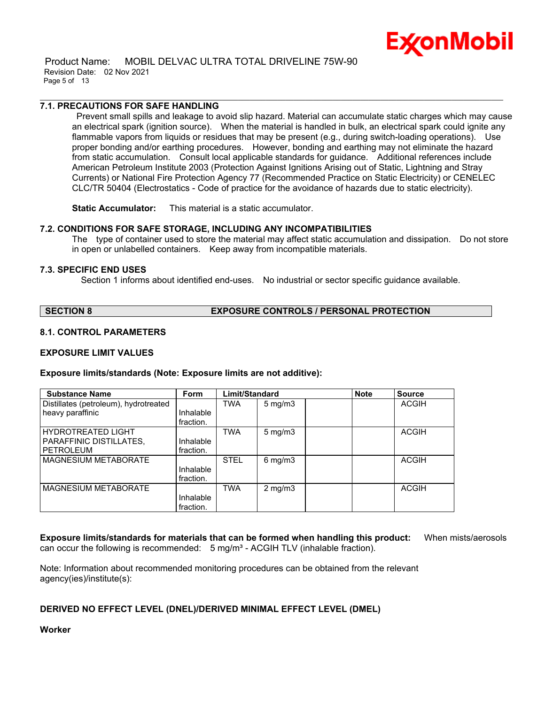

 Product Name: MOBIL DELVAC ULTRA TOTAL DRIVELINE 75W-90 Revision Date: 02 Nov 2021 Page 5 of 13

#### **7.1. PRECAUTIONS FOR SAFE HANDLING**

Prevent small spills and leakage to avoid slip hazard. Material can accumulate static charges which may cause an electrical spark (ignition source). When the material is handled in bulk, an electrical spark could ignite any flammable vapors from liquids or residues that may be present (e.g., during switch-loading operations). Use proper bonding and/or earthing procedures. However, bonding and earthing may not eliminate the hazard from static accumulation. Consult local applicable standards for guidance. Additional references include American Petroleum Institute 2003 (Protection Against Ignitions Arising out of Static, Lightning and Stray Currents) or National Fire Protection Agency 77 (Recommended Practice on Static Electricity) or CENELEC CLC/TR 50404 (Electrostatics - Code of practice for the avoidance of hazards due to static electricity).

\_\_\_\_\_\_\_\_\_\_\_\_\_\_\_\_\_\_\_\_\_\_\_\_\_\_\_\_\_\_\_\_\_\_\_\_\_\_\_\_\_\_\_\_\_\_\_\_\_\_\_\_\_\_\_\_\_\_\_\_\_\_\_\_\_\_\_\_\_\_\_\_\_\_\_\_\_\_\_\_\_\_\_\_\_\_\_\_\_\_\_\_\_\_\_\_\_\_\_\_\_\_\_\_\_\_\_\_\_\_\_\_\_\_\_\_\_

**Static Accumulator:** This material is a static accumulator.

#### **7.2. CONDITIONS FOR SAFE STORAGE, INCLUDING ANY INCOMPATIBILITIES**

The type of container used to store the material may affect static accumulation and dissipation. Do not store in open or unlabelled containers. Keep away from incompatible materials.

#### **7.3. SPECIFIC END USES**

Section 1 informs about identified end-uses. No industrial or sector specific guidance available.

### **SECTION 8 EXPOSURE CONTROLS / PERSONAL PROTECTION**

### **8.1. CONTROL PARAMETERS**

#### **EXPOSURE LIMIT VALUES**

#### **Exposure limits/standards (Note: Exposure limits are not additive):**

| <b>Substance Name</b>                 | <b>Form</b> | Limit/Standard |                     | <b>Note</b> | <b>Source</b> |
|---------------------------------------|-------------|----------------|---------------------|-------------|---------------|
| Distillates (petroleum), hydrotreated |             | TWA            | $5 \,\mathrm{mg/m}$ |             | ACGIH         |
| heavy paraffinic                      | Inhalable   |                |                     |             |               |
|                                       | fraction.   |                |                     |             |               |
| <b>HYDROTREATED LIGHT</b>             |             | <b>TWA</b>     | $5 \text{ mg/m}$    |             | ACGIH         |
| PARAFFINIC DISTILLATES,               | Inhalable   |                |                     |             |               |
| <b>PETROLEUM</b>                      | fraction.   |                |                     |             |               |
| <b>MAGNESIUM METABORATE</b>           |             | <b>STEL</b>    | $6$ mg/m $3$        |             | <b>ACGIH</b>  |
|                                       | Inhalable   |                |                     |             |               |
|                                       | fraction.   |                |                     |             |               |
| MAGNESIUM METABORATE                  |             | <b>TWA</b>     | $2 \text{ mg/m}$    |             | <b>ACGIH</b>  |
|                                       | Inhalable   |                |                     |             |               |
|                                       | fraction.   |                |                     |             |               |

**Exposure limits/standards for materials that can be formed when handling this product:** When mists/aerosols can occur the following is recommended:  $5 \text{ mg/m}^3$  - ACGIH TLV (inhalable fraction).

Note: Information about recommended monitoring procedures can be obtained from the relevant agency(ies)/institute(s):

#### **DERIVED NO EFFECT LEVEL (DNEL)/DERIVED MINIMAL EFFECT LEVEL (DMEL)**

**Worker**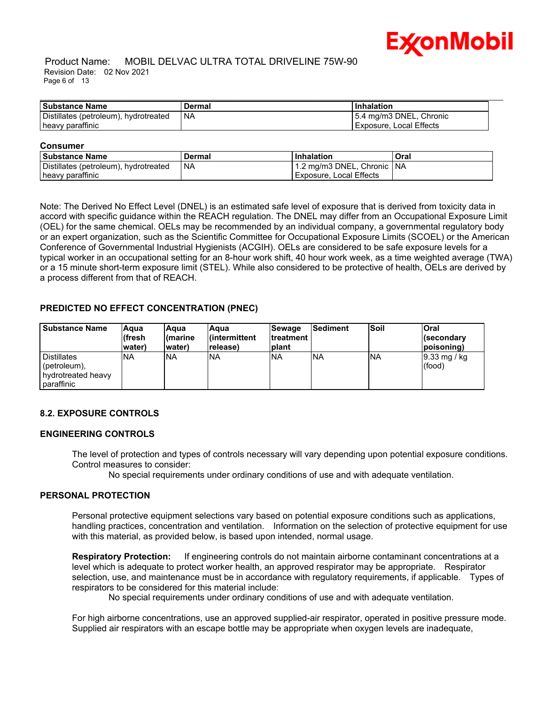

#### Product Name: MOBIL DELVAC ULTRA TOTAL DRIVELINE 75W-90 Revision Date: 02 Nov 2021 Page 6 of 13

| <b>Substance Name</b>                 | Dermal    | <b>Inhalation</b>       |
|---------------------------------------|-----------|-------------------------|
| Distillates (petroleum), hydrotreated | <b>NA</b> | 5.4 mg/m3 DNEL, Chronic |
| heavy paraffinic                      |           | Exposure, Local Effects |

#### **Consumer**

| l Substance Name                      | Dermal | <b>Inhalation</b>            | Oral |
|---------------------------------------|--------|------------------------------|------|
| Distillates (petroleum), hydrotreated | l Na   | 1.2 mg/m3 DNEL, Chronic   NA |      |
| heavy paraffinic                      |        | l Exposure. Local Effects    |      |

Note: The Derived No Effect Level (DNEL) is an estimated safe level of exposure that is derived from toxicity data in accord with specific guidance within the REACH regulation. The DNEL may differ from an Occupational Exposure Limit (OEL) for the same chemical. OELs may be recommended by an individual company, a governmental regulatory body or an expert organization, such as the Scientific Committee for Occupational Exposure Limits (SCOEL) or the American Conference of Governmental Industrial Hygienists (ACGIH). OELs are considered to be safe exposure levels for a typical worker in an occupational setting for an 8-hour work shift, 40 hour work week, as a time weighted average (TWA) or a 15 minute short-term exposure limit (STEL). While also considered to be protective of health, OELs are derived by a process different from that of REACH.

### **PREDICTED NO EFFECT CONCENTRATION (PNEC)**

| l Substance Name                                                                 | <b>Aqua</b><br>lífresh<br>lwater) | lAqua<br>l(marine<br>water) | Aqua<br>l(intermittent<br>release) | Sewage<br><b>Itreatment</b><br><b>Iplant</b> | <b>Sediment</b> | <b>Soil</b> | <b>Oral</b><br>l(secondarv<br>(poisoning |
|----------------------------------------------------------------------------------|-----------------------------------|-----------------------------|------------------------------------|----------------------------------------------|-----------------|-------------|------------------------------------------|
| <b>I</b> Distillates<br>$[$ (petroleum),<br>I hydrotreated heavy<br>I paraffinic | <b>INA</b>                        | <b>NA</b>                   | <b>NA</b>                          | <b>INA</b>                                   | <b>INA</b>      | INA         | $ 9.33 \text{ mg}$ / kg<br>(food)        |

#### **8.2. EXPOSURE CONTROLS**

### **ENGINEERING CONTROLS**

The level of protection and types of controls necessary will vary depending upon potential exposure conditions. Control measures to consider:

No special requirements under ordinary conditions of use and with adequate ventilation.

#### **PERSONAL PROTECTION**

Personal protective equipment selections vary based on potential exposure conditions such as applications, handling practices, concentration and ventilation. Information on the selection of protective equipment for use with this material, as provided below, is based upon intended, normal usage.

**Respiratory Protection:** If engineering controls do not maintain airborne contaminant concentrations at a level which is adequate to protect worker health, an approved respirator may be appropriate. Respirator selection, use, and maintenance must be in accordance with regulatory requirements, if applicable. Types of respirators to be considered for this material include:

No special requirements under ordinary conditions of use and with adequate ventilation.

For high airborne concentrations, use an approved supplied-air respirator, operated in positive pressure mode. Supplied air respirators with an escape bottle may be appropriate when oxygen levels are inadequate,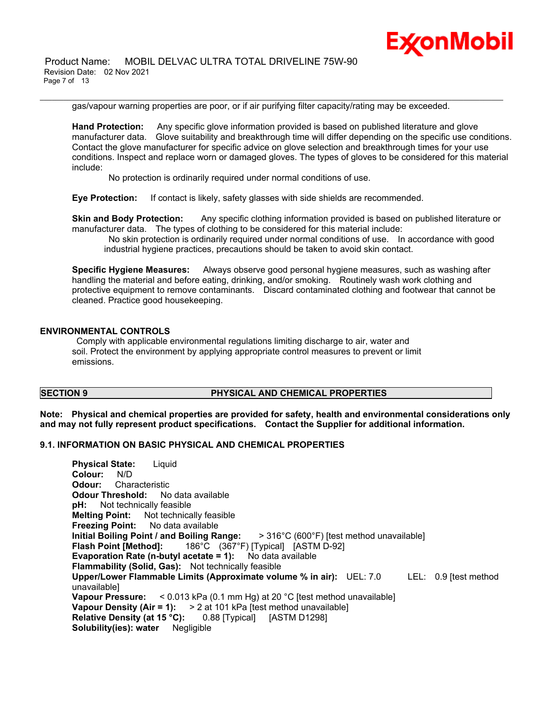

 Product Name: MOBIL DELVAC ULTRA TOTAL DRIVELINE 75W-90 Revision Date: 02 Nov 2021 Page 7 of 13

gas/vapour warning properties are poor, or if air purifying filter capacity/rating may be exceeded.

\_\_\_\_\_\_\_\_\_\_\_\_\_\_\_\_\_\_\_\_\_\_\_\_\_\_\_\_\_\_\_\_\_\_\_\_\_\_\_\_\_\_\_\_\_\_\_\_\_\_\_\_\_\_\_\_\_\_\_\_\_\_\_\_\_\_\_\_\_\_\_\_\_\_\_\_\_\_\_\_\_\_\_\_\_\_\_\_\_\_\_\_\_\_\_\_\_\_\_\_\_\_\_\_\_\_\_\_\_\_\_\_\_\_\_\_\_

**Hand Protection:** Any specific glove information provided is based on published literature and glove manufacturer data. Glove suitability and breakthrough time will differ depending on the specific use conditions. Contact the glove manufacturer for specific advice on glove selection and breakthrough times for your use conditions. Inspect and replace worn or damaged gloves. The types of gloves to be considered for this material include:

No protection is ordinarily required under normal conditions of use.

**Eye Protection:** If contact is likely, safety glasses with side shields are recommended.

**Skin and Body Protection:** Any specific clothing information provided is based on published literature or manufacturer data. The types of clothing to be considered for this material include:

No skin protection is ordinarily required under normal conditions of use. In accordance with good industrial hygiene practices, precautions should be taken to avoid skin contact.

**Specific Hygiene Measures:** Always observe good personal hygiene measures, such as washing after handling the material and before eating, drinking, and/or smoking. Routinely wash work clothing and protective equipment to remove contaminants. Discard contaminated clothing and footwear that cannot be cleaned. Practice good housekeeping.

#### **ENVIRONMENTAL CONTROLS**

Comply with applicable environmental regulations limiting discharge to air, water and soil. Protect the environment by applying appropriate control measures to prevent or limit emissions.

### **SECTION 9 PHYSICAL AND CHEMICAL PROPERTIES**

**Note: Physical and chemical properties are provided for safety, health and environmental considerations only and may not fully represent product specifications. Contact the Supplier for additional information.**

### **9.1. INFORMATION ON BASIC PHYSICAL AND CHEMICAL PROPERTIES**

**Physical State:** Liquid **Colour:** N/D **Odour:** Characteristic **Odour Threshold:** No data available **pH:** Not technically feasible **Melting Point:** Not technically feasible **Freezing Point:** No data available **Initial Boiling Point / and Boiling Range:** > 316°C (600°F) [test method unavailable] **Flash Point [Method]:** 186°C (367°F) [Typical] [ASTM D-92] **Evaporation Rate (n-butyl acetate = 1):** No data available **Flammability (Solid, Gas):** Not technically feasible **Upper/Lower Flammable Limits (Approximate volume % in air):** UEL: 7.0 LEL: 0.9 [test method unavailable] **Vapour Pressure:** < 0.013 kPa (0.1 mm Hg) at 20 °C [test method unavailable] **Vapour Density (Air = 1):** > 2 at 101 kPa [test method unavailable] **Relative Density (at 15 °C):** 0.88 [Typical] [ASTM D1298] **Solubility(ies): water** Negligible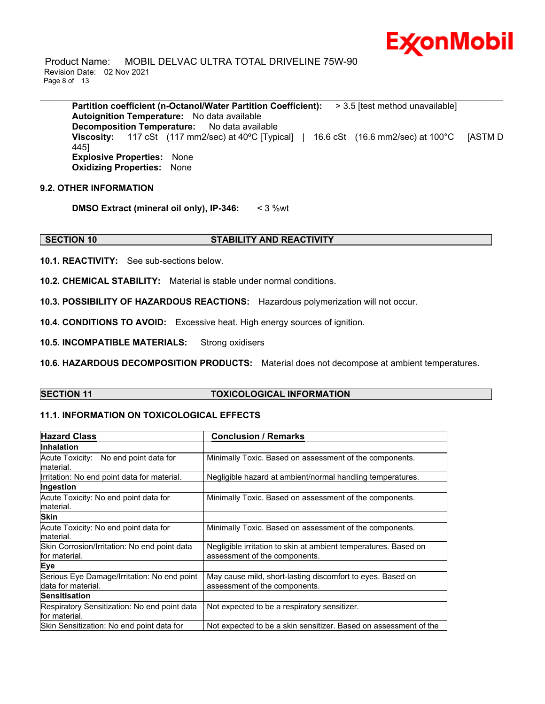

 Product Name: MOBIL DELVAC ULTRA TOTAL DRIVELINE 75W-90 Revision Date: 02 Nov 2021 Page 8 of 13

**Partition coefficient (n-Octanol/Water Partition Coefficient):** > 3.5 [test method unavailable] **Autoignition Temperature:** No data available **Decomposition Temperature:** No data available **Viscosity:** 117 cSt (117 mm2/sec) at 40°C [Typical] | 16.6 cSt (16.6 mm2/sec) at 100°C [ASTM D 445] **Explosive Properties:** None **Oxidizing Properties:** None

\_\_\_\_\_\_\_\_\_\_\_\_\_\_\_\_\_\_\_\_\_\_\_\_\_\_\_\_\_\_\_\_\_\_\_\_\_\_\_\_\_\_\_\_\_\_\_\_\_\_\_\_\_\_\_\_\_\_\_\_\_\_\_\_\_\_\_\_\_\_\_\_\_\_\_\_\_\_\_\_\_\_\_\_\_\_\_\_\_\_\_\_\_\_\_\_\_\_\_\_\_\_\_\_\_\_\_\_\_\_\_\_\_\_\_\_\_

#### **9.2. OTHER INFORMATION**

**DMSO Extract (mineral oil only), IP-346:** < 3 %wt

### **SECTION 10 STABILITY AND REACTIVITY**

**10.1. REACTIVITY:** See sub-sections below.

**10.2. CHEMICAL STABILITY:** Material is stable under normal conditions.

**10.3. POSSIBILITY OF HAZARDOUS REACTIONS:** Hazardous polymerization will not occur.

**10.4. CONDITIONS TO AVOID:** Excessive heat. High energy sources of ignition.

**10.5. INCOMPATIBLE MATERIALS:** Strong oxidisers

**10.6. HAZARDOUS DECOMPOSITION PRODUCTS:** Material does not decompose at ambient temperatures.

#### **SECTION 11 TOXICOLOGICAL INFORMATION**

### **11.1. INFORMATION ON TOXICOLOGICAL EFFECTS**

| <b>Hazard Class</b>                                                | <b>Conclusion / Remarks</b>                                                                      |
|--------------------------------------------------------------------|--------------------------------------------------------------------------------------------------|
| <b>Inhalation</b>                                                  |                                                                                                  |
| Acute Toxicity: No end point data for<br>lmaterial.                | Minimally Toxic. Based on assessment of the components.                                          |
| Irritation: No end point data for material.                        | Negligible hazard at ambient/normal handling temperatures.                                       |
| Ingestion                                                          |                                                                                                  |
| Acute Toxicity: No end point data for<br>lmaterial.                | Minimally Toxic. Based on assessment of the components.                                          |
| <b>Skin</b>                                                        |                                                                                                  |
| Acute Toxicity: No end point data for<br>lmaterial.                | Minimally Toxic. Based on assessment of the components.                                          |
| Skin Corrosion/Irritation: No end point data<br>lfor material.     | Negligible irritation to skin at ambient temperatures. Based on<br>assessment of the components. |
| Eye                                                                |                                                                                                  |
| Serious Eye Damage/Irritation: No end point<br>Idata for material. | May cause mild, short-lasting discomfort to eyes. Based on<br>assessment of the components.      |
| <b>Sensitisation</b>                                               |                                                                                                  |
| Respiratory Sensitization: No end point data<br>lfor material.     | Not expected to be a respiratory sensitizer.                                                     |
| Skin Sensitization: No end point data for                          | Not expected to be a skin sensitizer. Based on assessment of the                                 |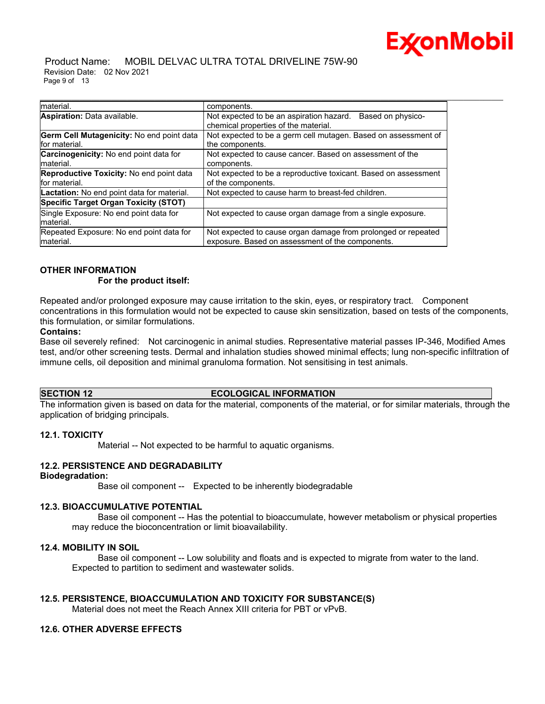

 Product Name: MOBIL DELVAC ULTRA TOTAL DRIVELINE 75W-90 Revision Date: 02 Nov 2021 Page 9 of 13

| Imaterial.                                        | components.                                                     |
|---------------------------------------------------|-----------------------------------------------------------------|
| Aspiration: Data available.                       | Not expected to be an aspiration hazard.<br>Based on physico-   |
|                                                   | chemical properties of the material.                            |
| Germ Cell Mutagenicity: No end point data         | Not expected to be a germ cell mutagen. Based on assessment of  |
| for material.                                     | the components.                                                 |
| Carcinogenicity: No end point data for            | Not expected to cause cancer. Based on assessment of the        |
| material.                                         | components.                                                     |
| Reproductive Toxicity: No end point data          | Not expected to be a reproductive toxicant. Based on assessment |
| for material.                                     | of the components.                                              |
| <b>Lactation:</b> No end point data for material. | Not expected to cause harm to breast-fed children.              |
| <b>Specific Target Organ Toxicity (STOT)</b>      |                                                                 |
| Single Exposure: No end point data for            | Not expected to cause organ damage from a single exposure.      |
| material.                                         |                                                                 |
| Repeated Exposure: No end point data for          | Not expected to cause organ damage from prolonged or repeated   |
| material.                                         | exposure. Based on assessment of the components.                |

\_\_\_\_\_\_\_\_\_\_\_\_\_\_\_\_\_\_\_\_\_\_\_\_\_\_\_\_\_\_\_\_\_\_\_\_\_\_\_\_\_\_\_\_\_\_\_\_\_\_\_\_\_\_\_\_\_\_\_\_\_\_\_\_\_\_\_\_\_\_\_\_\_\_\_\_\_\_\_\_\_\_\_\_\_\_\_\_\_\_\_\_\_\_\_\_\_\_\_\_\_\_\_\_\_\_\_\_\_\_\_\_\_\_\_\_\_

#### **OTHER INFORMATION For the product itself:**

Repeated and/or prolonged exposure may cause irritation to the skin, eyes, or respiratory tract. Component concentrations in this formulation would not be expected to cause skin sensitization, based on tests of the components, this formulation, or similar formulations.

#### **Contains:**

Base oil severely refined: Not carcinogenic in animal studies. Representative material passes IP-346, Modified Ames test, and/or other screening tests. Dermal and inhalation studies showed minimal effects; lung non-specific infiltration of immune cells, oil deposition and minimal granuloma formation. Not sensitising in test animals.

#### **SECTION 12 ECOLOGICAL INFORMATION**

The information given is based on data for the material, components of the material, or for similar materials, through the application of bridging principals.

#### **12.1. TOXICITY**

Material -- Not expected to be harmful to aquatic organisms.

#### **12.2. PERSISTENCE AND DEGRADABILITY**

#### **Biodegradation:**

Base oil component -- Expected to be inherently biodegradable

#### **12.3. BIOACCUMULATIVE POTENTIAL**

 Base oil component -- Has the potential to bioaccumulate, however metabolism or physical properties may reduce the bioconcentration or limit bioavailability.

### **12.4. MOBILITY IN SOIL**

 Base oil component -- Low solubility and floats and is expected to migrate from water to the land. Expected to partition to sediment and wastewater solids.

#### **12.5. PERSISTENCE, BIOACCUMULATION AND TOXICITY FOR SUBSTANCE(S)**

Material does not meet the Reach Annex XIII criteria for PBT or vPvB.

#### **12.6. OTHER ADVERSE EFFECTS**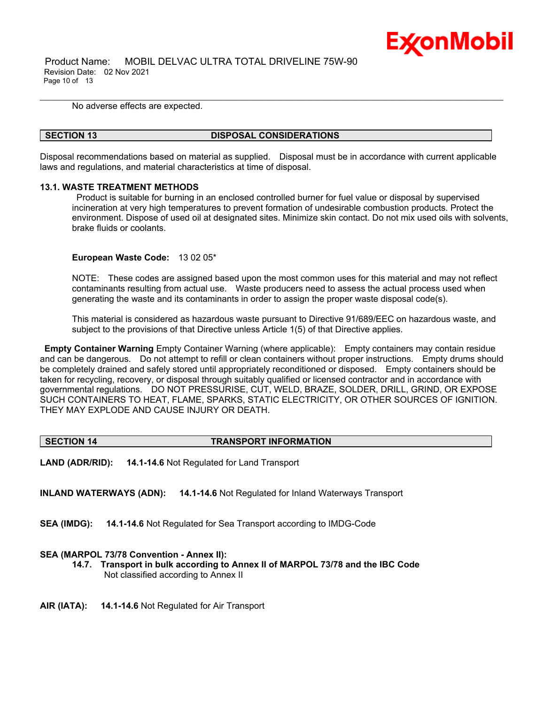

 Product Name: MOBIL DELVAC ULTRA TOTAL DRIVELINE 75W-90 Revision Date: 02 Nov 2021 Page 10 of 13

No adverse effects are expected.

#### **SECTION 13 DISPOSAL CONSIDERATIONS**

Disposal recommendations based on material as supplied. Disposal must be in accordance with current applicable laws and regulations, and material characteristics at time of disposal.

\_\_\_\_\_\_\_\_\_\_\_\_\_\_\_\_\_\_\_\_\_\_\_\_\_\_\_\_\_\_\_\_\_\_\_\_\_\_\_\_\_\_\_\_\_\_\_\_\_\_\_\_\_\_\_\_\_\_\_\_\_\_\_\_\_\_\_\_\_\_\_\_\_\_\_\_\_\_\_\_\_\_\_\_\_\_\_\_\_\_\_\_\_\_\_\_\_\_\_\_\_\_\_\_\_\_\_\_\_\_\_\_\_\_\_\_\_

#### **13.1. WASTE TREATMENT METHODS**

Product is suitable for burning in an enclosed controlled burner for fuel value or disposal by supervised incineration at very high temperatures to prevent formation of undesirable combustion products. Protect the environment. Dispose of used oil at designated sites. Minimize skin contact. Do not mix used oils with solvents, brake fluids or coolants.

#### **European Waste Code:** 13 02 05\*

NOTE: These codes are assigned based upon the most common uses for this material and may not reflect contaminants resulting from actual use. Waste producers need to assess the actual process used when generating the waste and its contaminants in order to assign the proper waste disposal code(s).

This material is considered as hazardous waste pursuant to Directive 91/689/EEC on hazardous waste, and subject to the provisions of that Directive unless Article 1(5) of that Directive applies.

**Empty Container Warning** Empty Container Warning (where applicable): Empty containers may contain residue and can be dangerous. Do not attempt to refill or clean containers without proper instructions. Empty drums should be completely drained and safely stored until appropriately reconditioned or disposed. Empty containers should be taken for recycling, recovery, or disposal through suitably qualified or licensed contractor and in accordance with governmental regulations. DO NOT PRESSURISE, CUT, WELD, BRAZE, SOLDER, DRILL, GRIND, OR EXPOSE SUCH CONTAINERS TO HEAT, FLAME, SPARKS, STATIC ELECTRICITY, OR OTHER SOURCES OF IGNITION. THEY MAY EXPLODE AND CAUSE INJURY OR DEATH.

#### **SECTION 14 TRANSPORT INFORMATION**

**LAND (ADR/RID): 14.1-14.6** Not Regulated for Land Transport

**INLAND WATERWAYS (ADN): 14.1-14.6** Not Regulated for Inland Waterways Transport

**SEA (IMDG): 14.1-14.6** Not Regulated for Sea Transport according to IMDG-Code

#### **SEA (MARPOL 73/78 Convention - Annex II):**

- **14.7. Transport in bulk according to Annex II of MARPOL 73/78 and the IBC Code** Not classified according to Annex II
- **AIR (IATA): 14.1-14.6** Not Regulated for Air Transport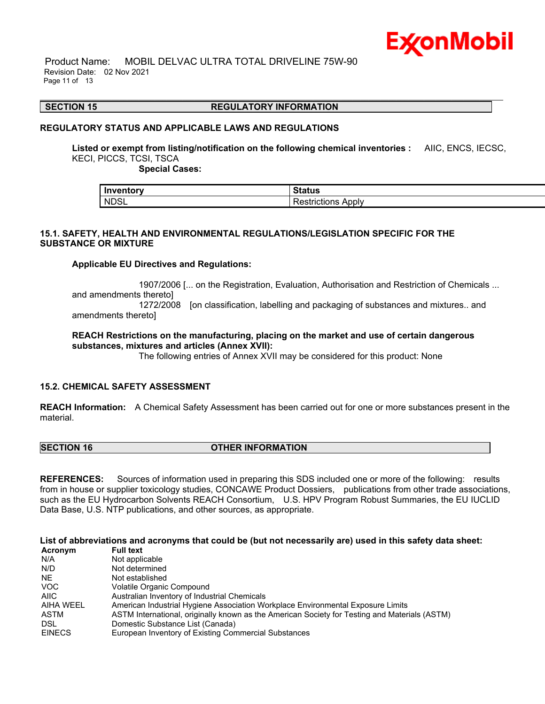

 Product Name: MOBIL DELVAC ULTRA TOTAL DRIVELINE 75W-90 Revision Date: 02 Nov 2021 Page 11 of 13

#### \_\_\_\_\_\_\_\_\_\_\_\_\_\_\_\_\_\_\_\_\_\_\_\_\_\_\_\_\_\_\_\_\_\_\_\_\_\_\_\_\_\_\_\_\_\_\_\_\_\_\_\_\_\_\_\_\_\_\_\_\_\_\_\_\_\_\_\_\_\_\_\_\_\_\_\_\_\_\_\_\_\_\_\_\_\_\_\_\_\_\_\_\_\_\_\_\_\_\_\_\_\_\_\_\_\_\_\_\_\_\_\_\_\_\_\_\_ **SECTION 15 REGULATORY INFORMATION**

#### **REGULATORY STATUS AND APPLICABLE LAWS AND REGULATIONS**

**Listed or exempt from listing/notification on the following chemical inventories :** AIIC, ENCS, IECSC, KECI, PICCS, TCSI, TSCA

 **Special Cases:**

| Inventory         | <b>Status</b>       |
|-------------------|---------------------|
| NDSL <sup>1</sup> | Apply<br>''TICLIONS |

#### **15.1. SAFETY, HEALTH AND ENVIRONMENTAL REGULATIONS/LEGISLATION SPECIFIC FOR THE SUBSTANCE OR MIXTURE**

#### **Applicable EU Directives and Regulations:**

 1907/2006 [... on the Registration, Evaluation, Authorisation and Restriction of Chemicals ... and amendments thereto] 1272/2008 [on classification, labelling and packaging of substances and mixtures.. and amendments thereto]

**REACH Restrictions on the manufacturing, placing on the market and use of certain dangerous substances, mixtures and articles (Annex XVII):**

The following entries of Annex XVII may be considered for this product: None

#### **15.2. CHEMICAL SAFETY ASSESSMENT**

**REACH Information:** A Chemical Safety Assessment has been carried out for one or more substances present in the material.

**SECTION 16 OTHER INFORMATION**

**REFERENCES:** Sources of information used in preparing this SDS included one or more of the following: results from in house or supplier toxicology studies, CONCAWE Product Dossiers, publications from other trade associations, such as the EU Hydrocarbon Solvents REACH Consortium, U.S. HPV Program Robust Summaries, the EU IUCLID Data Base, U.S. NTP publications, and other sources, as appropriate.

List of abbreviations and acronyms that could be (but not necessarily are) used in this safety data sheet:

| Acronym       | <b>Full text</b>                                                                              |
|---------------|-----------------------------------------------------------------------------------------------|
| N/A           | Not applicable                                                                                |
| N/D           | Not determined                                                                                |
| NE.           | Not established                                                                               |
| <b>VOC</b>    | Volatile Organic Compound                                                                     |
| AIIC          | Australian Inventory of Industrial Chemicals                                                  |
| AIHA WEEL     | American Industrial Hygiene Association Workplace Environmental Exposure Limits               |
| ASTM          | ASTM International, originally known as the American Society for Testing and Materials (ASTM) |
| <b>DSL</b>    | Domestic Substance List (Canada)                                                              |
| <b>EINECS</b> | European Inventory of Existing Commercial Substances                                          |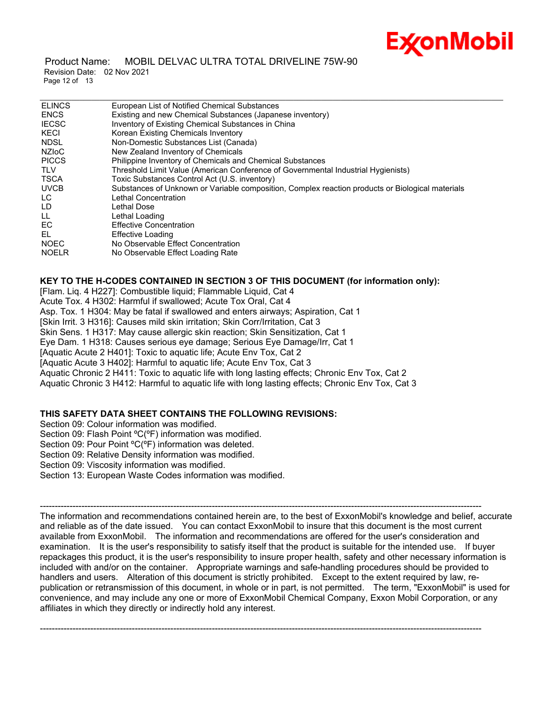# Ex⁄onMobil

#### Product Name: MOBIL DELVAC ULTRA TOTAL DRIVELINE 75W-90 Revision Date: 02 Nov 2021 Page 12 of 13

| European List of Notified Chemical Substances                                                    |
|--------------------------------------------------------------------------------------------------|
| Existing and new Chemical Substances (Japanese inventory)                                        |
| Inventory of Existing Chemical Substances in China                                               |
| Korean Existing Chemicals Inventory                                                              |
| Non-Domestic Substances List (Canada)                                                            |
| New Zealand Inventory of Chemicals                                                               |
| Philippine Inventory of Chemicals and Chemical Substances                                        |
| Threshold Limit Value (American Conference of Governmental Industrial Hygienists)                |
| Toxic Substances Control Act (U.S. inventory)                                                    |
| Substances of Unknown or Variable composition, Complex reaction products or Biological materials |
| Lethal Concentration                                                                             |
| Lethal Dose                                                                                      |
| Lethal Loading                                                                                   |
| <b>Effective Concentration</b>                                                                   |
| Effective Loading                                                                                |
| No Observable Effect Concentration                                                               |
| No Observable Effect Loading Rate                                                                |
|                                                                                                  |

**KEY TO THE H-CODES CONTAINED IN SECTION 3 OF THIS DOCUMENT (for information only):** [Flam. Liq. 4 H227]: Combustible liquid; Flammable Liquid, Cat 4

Acute Tox. 4 H302: Harmful if swallowed; Acute Tox Oral, Cat 4

Asp. Tox. 1 H304: May be fatal if swallowed and enters airways; Aspiration, Cat 1

[Skin Irrit. 3 H316]: Causes mild skin irritation; Skin Corr/Irritation, Cat 3

Skin Sens. 1 H317: May cause allergic skin reaction; Skin Sensitization, Cat 1

Eye Dam. 1 H318: Causes serious eye damage; Serious Eye Damage/Irr, Cat 1

[Aquatic Acute 2 H401]: Toxic to aquatic life; Acute Env Tox, Cat 2

[Aquatic Acute 3 H402]: Harmful to aquatic life; Acute Env Tox, Cat 3

Aquatic Chronic 2 H411: Toxic to aquatic life with long lasting effects; Chronic Env Tox, Cat 2

Aquatic Chronic 3 H412: Harmful to aquatic life with long lasting effects; Chronic Env Tox, Cat 3

#### **THIS SAFETY DATA SHEET CONTAINS THE FOLLOWING REVISIONS:**

Section 09: Colour information was modified.

Section 09: Flash Point °C(°F) information was modified.

Section 09: Pour Point °C(°F) information was deleted.

Section 09: Relative Density information was modified.

Section 09: Viscosity information was modified.

Section 13: European Waste Codes information was modified.

The information and recommendations contained herein are, to the best of ExxonMobil's knowledge and belief, accurate and reliable as of the date issued. You can contact ExxonMobil to insure that this document is the most current available from ExxonMobil. The information and recommendations are offered for the user's consideration and examination. It is the user's responsibility to satisfy itself that the product is suitable for the intended use. If buyer repackages this product, it is the user's responsibility to insure proper health, safety and other necessary information is included with and/or on the container. Appropriate warnings and safe-handling procedures should be provided to handlers and users. Alteration of this document is strictly prohibited. Except to the extent required by law, republication or retransmission of this document, in whole or in part, is not permitted. The term, "ExxonMobil" is used for convenience, and may include any one or more of ExxonMobil Chemical Company, Exxon Mobil Corporation, or any affiliates in which they directly or indirectly hold any interest.

-----------------------------------------------------------------------------------------------------------------------------------------------------

-----------------------------------------------------------------------------------------------------------------------------------------------------